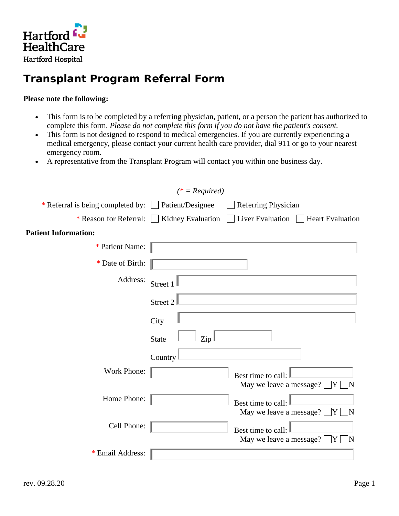

## **Transplant Program Referral Form**

## **Please note the following:**

- This form is to be completed by a referring physician, patient, or a person the patient has authorized to complete this form. *Please do not complete this form if you do not have the patient's consent.*
- This form is not designed to respond to medical emergencies. If you are currently experiencing a medical emergency, please contact your current health care provider, dial 911 or go to your nearest emergency room.
- A representative from the Transplant Program will contact you within one business day.

|                                                      | $(* = Required)$                         |                                                           |
|------------------------------------------------------|------------------------------------------|-----------------------------------------------------------|
| * Referral is being completed by:   Patient/Designee |                                          | Referring Physician                                       |
|                                                      | * Reason for Referral: Kidney Evaluation | Liver Evaluation     Heart Evaluation                     |
| <b>Patient Information:</b>                          |                                          |                                                           |
| * Patient Name:                                      |                                          |                                                           |
| * Date of Birth:                                     |                                          |                                                           |
| Address:                                             | Street 1                                 |                                                           |
|                                                      | Street 2                                 |                                                           |
|                                                      | City                                     |                                                           |
|                                                      | <b>State</b><br>Zip                      |                                                           |
|                                                      | Country                                  |                                                           |
| Work Phone:                                          |                                          | Best time to call:<br>May we leave a message?<br>Y        |
| Home Phone:                                          |                                          | Best time to call:<br>May we leave a message? $\boxed{Y}$ |
| Cell Phone:                                          |                                          | Best time to call:<br>May we leave a message? $\Box$<br>Y |
| * Email Address:                                     |                                          |                                                           |